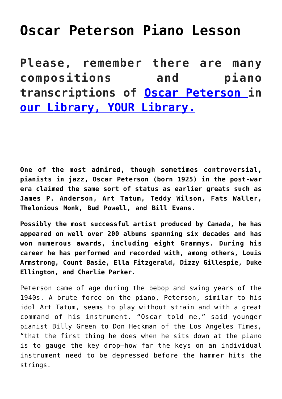## **[Oscar Peterson Piano Lesson](https://sheetmusiclibrary.website/2022/04/07/oscar-peterson-sheet-music-4/)**

**Please, remember there are many compositions and piano transcriptions of [Oscar Peterson](https://www.youtube.com/watch?v=ec-FrnaU0rs) in [our Library, YOUR Library.](https://sheetmusiclibrary.website/)**

**One of the most admired, though sometimes controversial, pianists in jazz, Oscar Peterson (born 1925) in the post-war era claimed the same sort of status as earlier greats such as James P. Anderson, Art Tatum, Teddy Wilson, Fats Waller, Thelonious Monk, Bud Powell, and Bill Evans.**

**Possibly the most successful artist produced by Canada, he has appeared on well over 200 albums spanning six decades and has won numerous awards, including eight Grammys. During his career he has performed and recorded with, among others, Louis Armstrong, Count Basie, Ella Fitzgerald, Dizzy Gillespie, Duke Ellington, and Charlie Parker.**

Peterson came of age during the bebop and swing years of the 1940s. A brute force on the piano, Peterson, similar to his idol Art Tatum, seems to play without strain and with a great command of his instrument. "Oscar told me," said younger pianist Billy Green to Don Heckman of the Los Angeles Times, "that the first thing he does when he sits down at the piano is to gauge the key drop—how far the keys on an individual instrument need to be depressed before the hammer hits the strings.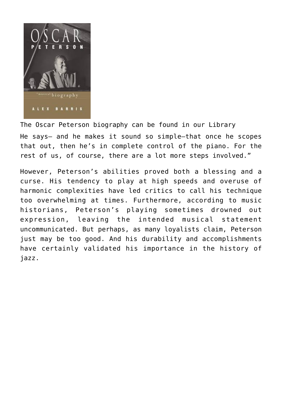

The Oscar Peterson biography can be found in our Library He says— and he makes it sound so simple—that once he scopes that out, then he's in complete control of the piano. For the rest of us, of course, there are a lot more steps involved."

However, Peterson's abilities proved both a blessing and a curse. His tendency to play at high speeds and overuse of harmonic complexities have led critics to call his technique too overwhelming at times. Furthermore, according to music historians, Peterson's playing sometimes drowned out expression, leaving the intended musical statement uncommunicated. But perhaps, as many loyalists claim, Peterson just may be too good. And his durability and accomplishments have certainly validated his importance in the history of jazz.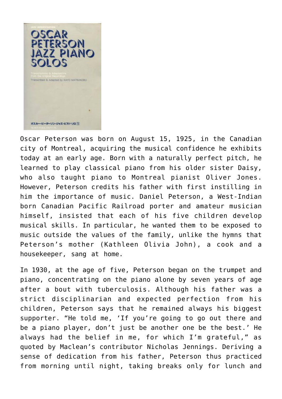

Oscar Peterson was born on August 15, 1925, in the Canadian city of Montreal, acquiring the musical confidence he exhibits today at an early age. Born with a naturally perfect pitch, he learned to play classical piano from his older sister Daisy, who also taught piano to Montreal pianist Oliver Jones. However, Peterson credits his father with first instilling in him the importance of music. Daniel Peterson, a West-Indian born Canadian Pacific Railroad porter and amateur musician himself, insisted that each of his five children develop musical skills. In particular, he wanted them to be exposed to music outside the values of the family, unlike the hymns that Peterson's mother (Kathleen Olivia John), a cook and a housekeeper, sang at home.

In 1930, at the age of five, Peterson began on the trumpet and piano, concentrating on the piano alone by seven years of age after a bout with tuberculosis. Although his father was a strict disciplinarian and expected perfection from his children, Peterson says that he remained always his biggest supporter. "He told me, 'If you're going to go out there and be a piano player, don't just be another one be the best.' He always had the belief in me, for which I'm grateful," as quoted by Maclean's contributor Nicholas Jennings. Deriving a sense of dedication from his father, Peterson thus practiced from morning until night, taking breaks only for lunch and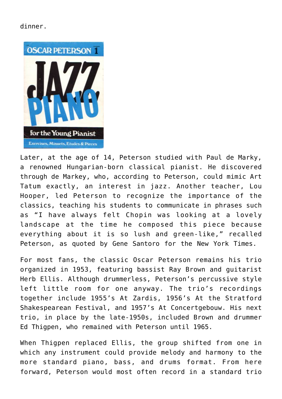## dinner.



Later, at the age of 14, Peterson studied with Paul de Marky, a renowned Hungarian-born classical pianist. He discovered through de Markey, who, according to Peterson, could mimic Art Tatum exactly, an interest in jazz. Another teacher, Lou Hooper, led Peterson to recognize the importance of the classics, teaching his students to communicate in phrases such as "I have always felt Chopin was looking at a lovely landscape at the time he composed this piece because everything about it is so lush and green-like," recalled Peterson, as quoted by Gene Santoro for the New York Times.

For most fans, the classic Oscar Peterson remains his trio organized in 1953, featuring bassist Ray Brown and guitarist Herb Ellis. Although drummerless, Peterson's percussive style left little room for one anyway. The trio's recordings together include 1955's At Zardis, 1956's At the Stratford Shakespearean Festival, and 1957's At Concertgebouw. His next trio, in place by the late-1950s, included Brown and drummer Ed Thigpen, who remained with Peterson until 1965.

When Thigpen replaced Ellis, the group shifted from one in which any instrument could provide melody and harmony to the more standard piano, bass, and drums format. From here forward, Peterson would most often record in a standard trio